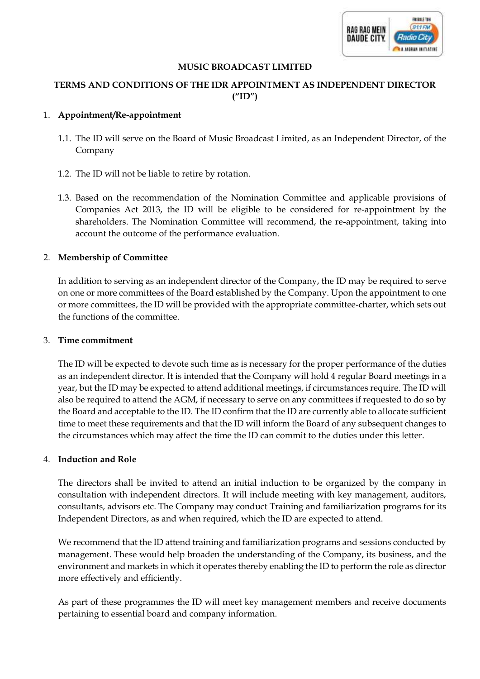

## **MUSIC BROADCAST LIMITED**

# **TERMS AND CONDITIONS OF THE IDR APPOINTMENT AS INDEPENDENT DIRECTOR ("ID")**

## 1. **Appointment/Re-appointment**

- 1.1. The ID will serve on the Board of Music Broadcast Limited, as an Independent Director, of the Company
- 1.2. The ID will not be liable to retire by rotation.
- 1.3. Based on the recommendation of the Nomination Committee and applicable provisions of Companies Act 2013, the ID will be eligible to be considered for re-appointment by the shareholders. The Nomination Committee will recommend, the re-appointment, taking into account the outcome of the performance evaluation.

## 2. **Membership of Committee**

In addition to serving as an independent director of the Company, the ID may be required to serve on one or more committees of the Board established by the Company. Upon the appointment to one or more committees, the ID will be provided with the appropriate committee-charter, which sets out the functions of the committee.

#### 3. **Time commitment**

The ID will be expected to devote such time as is necessary for the proper performance of the duties as an independent director. It is intended that the Company will hold 4 regular Board meetings in a year, but the ID may be expected to attend additional meetings, if circumstances require. The ID will also be required to attend the AGM, if necessary to serve on any committees if requested to do so by the Board and acceptable to the ID. The ID confirm that the ID are currently able to allocate sufficient time to meet these requirements and that the ID will inform the Board of any subsequent changes to the circumstances which may affect the time the ID can commit to the duties under this letter.

## 4. **Induction and Role**

The directors shall be invited to attend an initial induction to be organized by the company in consultation with independent directors. It will include meeting with key management, auditors, consultants, advisors etc. The Company may conduct Training and familiarization programs for its Independent Directors, as and when required, which the ID are expected to attend.

We recommend that the ID attend training and familiarization programs and sessions conducted by management. These would help broaden the understanding of the Company, its business, and the environment and markets in which it operates thereby enabling the ID to perform the role as director more effectively and efficiently.

As part of these programmes the ID will meet key management members and receive documents pertaining to essential board and company information.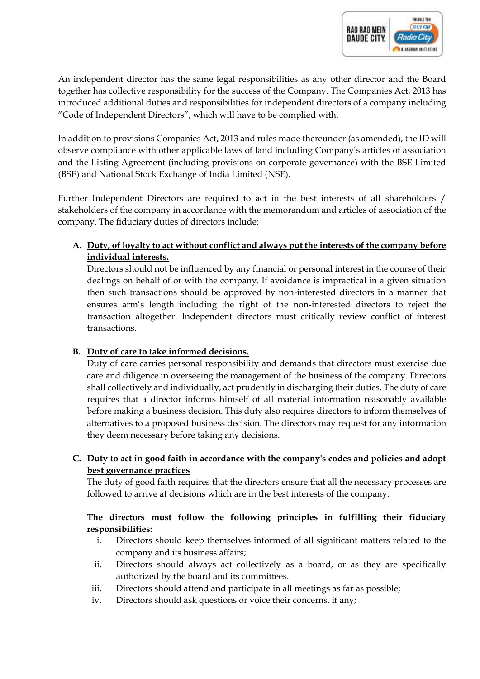An independent director has the same legal responsibilities as any other director and the Board together has collective responsibility for the success of the Company. The Companies Act, 2013 has introduced additional duties and responsibilities for independent directors of a company including "Code of Independent Directors", which will have to be complied with.

In addition to provisions Companies Act, 2013 and rules made thereunder (as amended), the ID will observe compliance with other applicable laws of land including Company's articles of association and the Listing Agreement (including provisions on corporate governance) with the BSE Limited (BSE) and National Stock Exchange of India Limited (NSE).

Further Independent Directors are required to act in the best interests of all shareholders / stakeholders of the company in accordance with the memorandum and articles of association of the company. The fiduciary duties of directors include:

**A. Duty, of loyalty to act without conflict and always put the interests of the company before individual interests.** 

Directors should not be influenced by any financial or personal interest in the course of their dealings on behalf of or with the company. If avoidance is impractical in a given situation then such transactions should be approved by non-interested directors in a manner that ensures arm's length including the right of the non-interested directors to reject the transaction altogether. Independent directors must critically review conflict of interest transactions.

# **B. Duty of care to take informed decisions.**

Duty of care carries personal responsibility and demands that directors must exercise due care and diligence in overseeing the management of the business of the company. Directors shall collectively and individually, act prudently in discharging their duties. The duty of care requires that a director informs himself of all material information reasonably available before making a business decision. This duty also requires directors to inform themselves of alternatives to a proposed business decision. The directors may request for any information they deem necessary before taking any decisions.

# **C. Duty to act in good faith in accordance with the company's codes and policies and adopt best governance practices**

The duty of good faith requires that the directors ensure that all the necessary processes are followed to arrive at decisions which are in the best interests of the company.

# **The directors must follow the following principles in fulfilling their fiduciary responsibilities:**

- i. Directors should keep themselves informed of all significant matters related to the company and its business affairs;
- ii. Directors should always act collectively as a board, or as they are specifically authorized by the board and its committees.
- iii. Directors should attend and participate in all meetings as far as possible;
- iv. Directors should ask questions or voice their concerns, if any;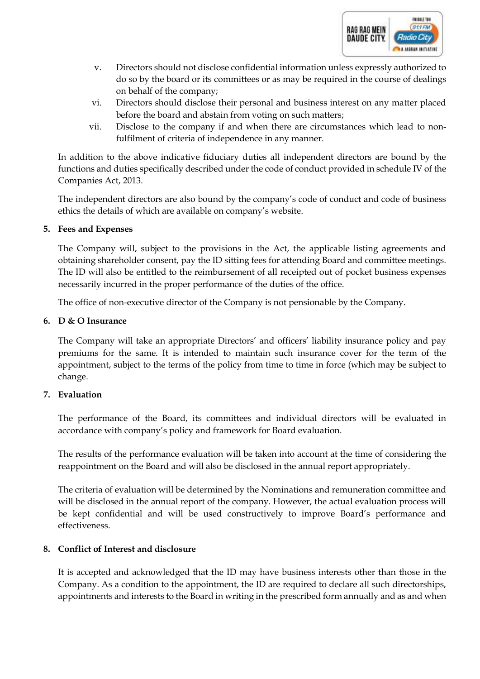

- v. Directors should not disclose confidential information unless expressly authorized to do so by the board or its committees or as may be required in the course of dealings on behalf of the company;
- vi. Directors should disclose their personal and business interest on any matter placed before the board and abstain from voting on such matters;
- vii. Disclose to the company if and when there are circumstances which lead to nonfulfilment of criteria of independence in any manner.

In addition to the above indicative fiduciary duties all independent directors are bound by the functions and duties specifically described under the code of conduct provided in schedule IV of the Companies Act, 2013.

The independent directors are also bound by the company's code of conduct and code of business ethics the details of which are available on company's website.

## **5. Fees and Expenses**

The Company will, subject to the provisions in the Act, the applicable listing agreements and obtaining shareholder consent, pay the ID sitting fees for attending Board and committee meetings. The ID will also be entitled to the reimbursement of all receipted out of pocket business expenses necessarily incurred in the proper performance of the duties of the office.

The office of non-executive director of the Company is not pensionable by the Company.

## **6. D & O Insurance**

The Company will take an appropriate Directors' and officers' liability insurance policy and pay premiums for the same. It is intended to maintain such insurance cover for the term of the appointment, subject to the terms of the policy from time to time in force (which may be subject to change.

# **7. Evaluation**

The performance of the Board, its committees and individual directors will be evaluated in accordance with company's policy and framework for Board evaluation.

The results of the performance evaluation will be taken into account at the time of considering the reappointment on the Board and will also be disclosed in the annual report appropriately.

The criteria of evaluation will be determined by the Nominations and remuneration committee and will be disclosed in the annual report of the company. However, the actual evaluation process will be kept confidential and will be used constructively to improve Board's performance and effectiveness.

# **8. Conflict of Interest and disclosure**

It is accepted and acknowledged that the ID may have business interests other than those in the Company. As a condition to the appointment, the ID are required to declare all such directorships, appointments and interests to the Board in writing in the prescribed form annually and as and when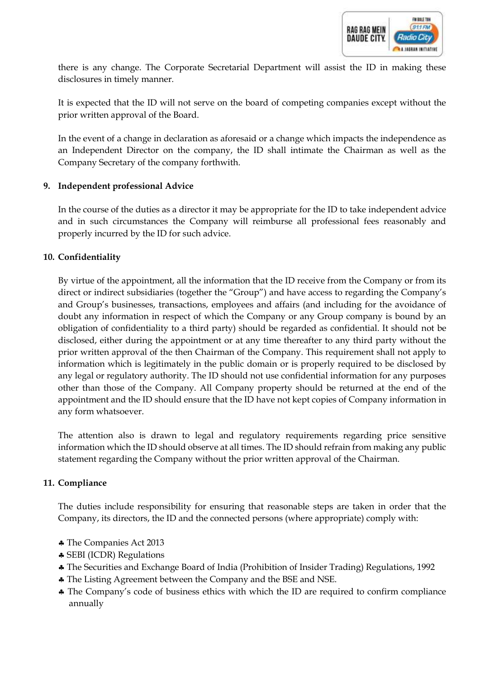

there is any change. The Corporate Secretarial Department will assist the ID in making these disclosures in timely manner.

It is expected that the ID will not serve on the board of competing companies except without the prior written approval of the Board.

In the event of a change in declaration as aforesaid or a change which impacts the independence as an Independent Director on the company, the ID shall intimate the Chairman as well as the Company Secretary of the company forthwith.

# **9. Independent professional Advice**

In the course of the duties as a director it may be appropriate for the ID to take independent advice and in such circumstances the Company will reimburse all professional fees reasonably and properly incurred by the ID for such advice.

## **10. Confidentiality**

By virtue of the appointment, all the information that the ID receive from the Company or from its direct or indirect subsidiaries (together the "Group") and have access to regarding the Company's and Group's businesses, transactions, employees and affairs (and including for the avoidance of doubt any information in respect of which the Company or any Group company is bound by an obligation of confidentiality to a third party) should be regarded as confidential. It should not be disclosed, either during the appointment or at any time thereafter to any third party without the prior written approval of the then Chairman of the Company. This requirement shall not apply to information which is legitimately in the public domain or is properly required to be disclosed by any legal or regulatory authority. The ID should not use confidential information for any purposes other than those of the Company. All Company property should be returned at the end of the appointment and the ID should ensure that the ID have not kept copies of Company information in any form whatsoever.

The attention also is drawn to legal and regulatory requirements regarding price sensitive information which the ID should observe at all times. The ID should refrain from making any public statement regarding the Company without the prior written approval of the Chairman.

## **11. Compliance**

The duties include responsibility for ensuring that reasonable steps are taken in order that the Company, its directors, the ID and the connected persons (where appropriate) comply with:

- The Companies Act 2013
- SEBI (ICDR) Regulations
- The Securities and Exchange Board of India (Prohibition of Insider Trading) Regulations, 1992
- The Listing Agreement between the Company and the BSE and NSE.
- The Company's code of business ethics with which the ID are required to confirm compliance annually